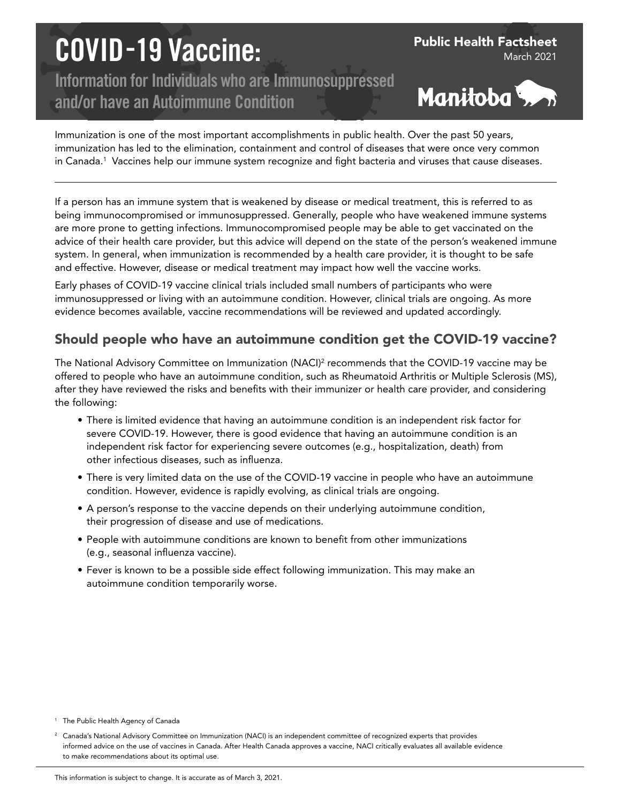# COVID-19 Vaccine:

Information for Individuals who are Immunosuppressed and/or have an Autoimmune Condition



Public Health Factsheet

March 2021

Immunization is one of the most important accomplishments in public health. Over the past 50 years, immunization has led to the elimination, containment and control of diseases that were once very common in Canada.1 Vaccines help our immune system recognize and fight bacteria and viruses that cause diseases.

If a person has an immune system that is weakened by disease or medical treatment, this is referred to as being immunocompromised or immunosuppressed. Generally, people who have weakened immune systems are more prone to getting infections. Immunocompromised people may be able to get vaccinated on the advice of their health care provider, but this advice will depend on the state of the person's weakened immune system. In general, when immunization is recommended by a health care provider, it is thought to be safe and effective. However, disease or medical treatment may impact how well the vaccine works.

Early phases of COVID-19 vaccine clinical trials included small numbers of participants who were immunosuppressed or living with an autoimmune condition. However, clinical trials are ongoing. As more evidence becomes available, vaccine recommendations will be reviewed and updated accordingly.

## Should people who have an autoimmune condition get the COVID-19 vaccine?

The National Advisory Committee on Immunization (NACI) $^2$  recommends that the COVID-19 vaccine may be offered to people who have an autoimmune condition, such as Rheumatoid Arthritis or Multiple Sclerosis (MS), after they have reviewed the risks and benefits with their immunizer or health care provider, and considering the following:

- There is limited evidence that having an autoimmune condition is an independent risk factor for severe COVID-19. However, there is good evidence that having an autoimmune condition is an independent risk factor for experiencing severe outcomes (e.g., hospitalization, death) from other infectious diseases, such as influenza.
- There is very limited data on the use of the COVID-19 vaccine in people who have an autoimmune condition. However, evidence is rapidly evolving, as clinical trials are ongoing.
- A person's response to the vaccine depends on their underlying autoimmune condition, their progression of disease and use of medications.
- People with autoimmune conditions are known to benefit from other immunizations (e.g., seasonal influenza vaccine).
- Fever is known to be a possible side effect following immunization. This may make an autoimmune condition temporarily worse.

<sup>1</sup> The Public Health Agency of Canada

<sup>&</sup>lt;sup>2</sup> Canada's National Advisory Committee on Immunization (NACI) is an independent committee of recognized experts that provides informed advice on the use of vaccines in Canada. After Health Canada approves a vaccine, NACI critically evaluates all available evidence to make recommendations about its optimal use.

This information is subject to change. It is accurate as of March 3, 2021.